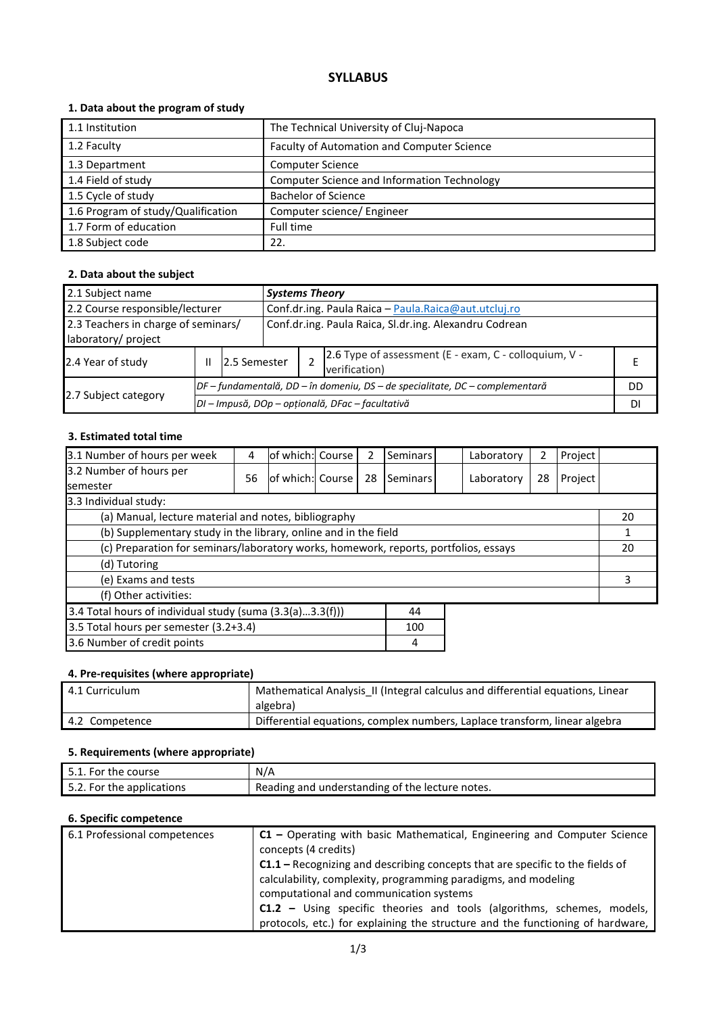# **SYLLABUS**

### **1. Data about the program of study**

| 1.1 Institution                    | The Technical University of Cluj-Napoca     |
|------------------------------------|---------------------------------------------|
| 1.2 Faculty                        | Faculty of Automation and Computer Science  |
| 1.3 Department                     | <b>Computer Science</b>                     |
| 1.4 Field of study                 | Computer Science and Information Technology |
| 1.5 Cycle of study                 | <b>Bachelor of Science</b>                  |
| 1.6 Program of study/Qualification | Computer science/ Engineer                  |
| 1.7 Form of education              | Full time                                   |
| 1.8 Subject code                   | 22.                                         |

### **2. Data about the subject**

| 2.1 Subject name<br><b>Systems Theory</b>                                                                            |   |                                                                              |              |                                                      |                                                                        |  |  |
|----------------------------------------------------------------------------------------------------------------------|---|------------------------------------------------------------------------------|--------------|------------------------------------------------------|------------------------------------------------------------------------|--|--|
| 2.2 Course responsible/lecturer                                                                                      |   |                                                                              |              | Conf.dr.ing. Paula Raica - Paula.Raica@aut.utcluj.ro |                                                                        |  |  |
| 2.3 Teachers in charge of seminars/<br>Conf.dr.ing. Paula Raica, Sl.dr.ing. Alexandru Codrean<br>laboratory/ project |   |                                                                              |              |                                                      |                                                                        |  |  |
| 2.4 Year of study                                                                                                    | Ш |                                                                              | 2.5 Semester |                                                      | 2.6 Type of assessment (E - exam, C - colloquium, V -<br>verification) |  |  |
|                                                                                                                      |   | DF – fundamentală, DD – în domeniu, DS – de specialitate, DC – complementară |              |                                                      | DD                                                                     |  |  |
| 2.7 Subject category                                                                                                 |   | DI - Impusă, DOp - opțională, DFac - facultativă                             |              |                                                      |                                                                        |  |  |

## **3. Estimated total time**

| 3.1 Number of hours per week                                                         | 4  | of which: Course |  | 2  | Seminars |  | Laboratory | 2  | Project |    |
|--------------------------------------------------------------------------------------|----|------------------|--|----|----------|--|------------|----|---------|----|
| 3.2 Number of hours per<br><b>semester</b>                                           | 56 | of which: Course |  | 28 | Seminars |  | Laboratory | 28 | Project |    |
| 3.3 Individual study:                                                                |    |                  |  |    |          |  |            |    |         |    |
| (a) Manual, lecture material and notes, bibliography                                 |    |                  |  |    |          |  |            |    |         | 20 |
| (b) Supplementary study in the library, online and in the field                      |    |                  |  |    |          |  |            |    |         |    |
| (c) Preparation for seminars/laboratory works, homework, reports, portfolios, essays |    |                  |  |    |          |  | 20         |    |         |    |
| (d) Tutoring                                                                         |    |                  |  |    |          |  |            |    |         |    |
| (e) Exams and tests                                                                  |    |                  |  |    |          |  | 3          |    |         |    |
| (f) Other activities:                                                                |    |                  |  |    |          |  |            |    |         |    |
| 3.4 Total hours of individual study (suma (3.3(a)3.3(f)))<br>44                      |    |                  |  |    |          |  |            |    |         |    |
| 3.5 Total hours per semester (3.2+3.4)<br>100                                        |    |                  |  |    |          |  |            |    |         |    |
| 3.6 Number of credit points<br>4                                                     |    |                  |  |    |          |  |            |    |         |    |

### **4. Pre-requisites (where appropriate)**

| 4.1 Curriculum | Mathematical Analysis_II (Integral calculus and differential equations, Linear<br>algebra) |
|----------------|--------------------------------------------------------------------------------------------|
| 4.2 Competence | Differential equations, complex numbers, Laplace transform, linear algebra                 |

### **5. Requirements (where appropriate)**

| 5.1. For the course       | N/A                                              |
|---------------------------|--------------------------------------------------|
| 5.2. For the applications | 'Reading and understanding of the lecture notes. |

### **6. Specific competence**

| 6.1 Professional competences | C1 – Operating with basic Mathematical, Engineering and Computer Science             |
|------------------------------|--------------------------------------------------------------------------------------|
|                              | concepts (4 credits)                                                                 |
|                              | <b>C1.1</b> – Recognizing and describing concepts that are specific to the fields of |
|                              | calculability, complexity, programming paradigms, and modeling                       |
|                              | computational and communication systems                                              |
|                              | <b>C1.2</b> – Using specific theories and tools (algorithms, schemes, models,        |
|                              | protocols, etc.) for explaining the structure and the functioning of hardware,       |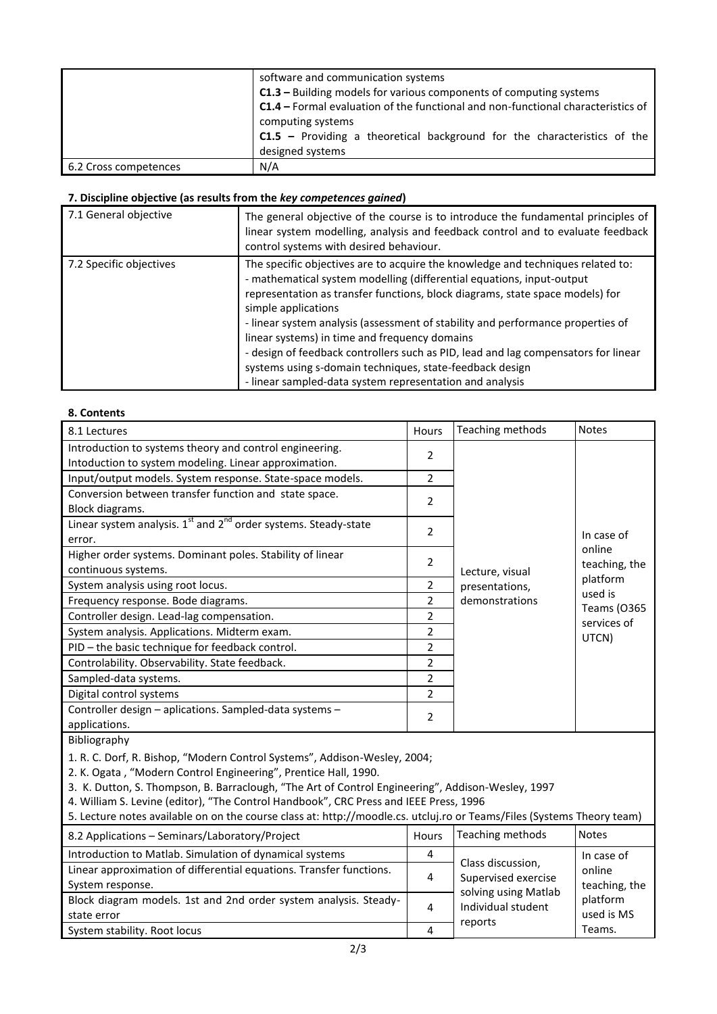|                       | software and communication systems<br>C1.3 - Building models for various components of computing systems<br>C1.4 - Formal evaluation of the functional and non-functional characteristics of |  |  |  |
|-----------------------|----------------------------------------------------------------------------------------------------------------------------------------------------------------------------------------------|--|--|--|
|                       | computing systems<br>$C1.5$ – Providing a theoretical background for the characteristics of the<br>designed systems                                                                          |  |  |  |
| 6.2 Cross competences | N/A                                                                                                                                                                                          |  |  |  |

### **7. Discipline objective (as results from the** *key competences gained***)**

| 7.1 General objective   | The general objective of the course is to introduce the fundamental principles of<br>linear system modelling, analysis and feedback control and to evaluate feedback<br>control systems with desired behaviour.                                                                                                                                                                                                                                                                                                                                                                                                    |
|-------------------------|--------------------------------------------------------------------------------------------------------------------------------------------------------------------------------------------------------------------------------------------------------------------------------------------------------------------------------------------------------------------------------------------------------------------------------------------------------------------------------------------------------------------------------------------------------------------------------------------------------------------|
| 7.2 Specific objectives | The specific objectives are to acquire the knowledge and techniques related to:<br>- mathematical system modelling (differential equations, input-output<br>representation as transfer functions, block diagrams, state space models) for<br>simple applications<br>- linear system analysis (assessment of stability and performance properties of<br>linear systems) in time and frequency domains<br>- design of feedback controllers such as PID, lead and lag compensators for linear<br>systems using s-domain techniques, state-feedback design<br>- linear sampled-data system representation and analysis |

#### **8. Contents**

state error

| 8.1 Lectures                                                                                                           | Hours          | Teaching methods                            | Notes                                      |  |
|------------------------------------------------------------------------------------------------------------------------|----------------|---------------------------------------------|--------------------------------------------|--|
| Introduction to systems theory and control engineering.                                                                | 2              |                                             |                                            |  |
| Intoduction to system modeling. Linear approximation.                                                                  |                |                                             |                                            |  |
| Input/output models. System response. State-space models.                                                              | $\overline{2}$ |                                             |                                            |  |
| Conversion between transfer function and state space.                                                                  | 2              |                                             |                                            |  |
| Block diagrams.                                                                                                        |                |                                             |                                            |  |
| Linear system analysis. 1 <sup>st</sup> and 2 <sup>nd</sup> order systems. Steady-state                                | $\overline{2}$ |                                             |                                            |  |
| error.                                                                                                                 |                | In case of                                  |                                            |  |
| Higher order systems. Dominant poles. Stability of linear                                                              | 2              |                                             | online                                     |  |
| continuous systems.                                                                                                    |                | Lecture, visual                             | teaching, the                              |  |
| System analysis using root locus.                                                                                      | 2              | presentations,                              | platform<br>used is                        |  |
| Frequency response. Bode diagrams.                                                                                     | 2              | demonstrations                              | <b>Teams (0365</b><br>services of<br>UTCN) |  |
| Controller design. Lead-lag compensation.                                                                              | 2              |                                             |                                            |  |
| System analysis. Applications. Midterm exam.                                                                           | $\overline{2}$ |                                             |                                            |  |
| PID - the basic technique for feedback control.                                                                        | $\overline{2}$ |                                             |                                            |  |
| Controlability. Observability. State feedback.                                                                         | $\overline{2}$ |                                             |                                            |  |
| Sampled-data systems.                                                                                                  | $\overline{2}$ |                                             |                                            |  |
| Digital control systems                                                                                                | 2              |                                             |                                            |  |
| Controller design - aplications. Sampled-data systems -                                                                |                |                                             |                                            |  |
| applications.                                                                                                          | 2              |                                             |                                            |  |
| Bibliography                                                                                                           |                |                                             |                                            |  |
| 1. R. C. Dorf, R. Bishop, "Modern Control Systems", Addison-Wesley, 2004;                                              |                |                                             |                                            |  |
| 2. K. Ogata, "Modern Control Engineering", Prentice Hall, 1990.                                                        |                |                                             |                                            |  |
| 3. K. Dutton, S. Thompson, B. Barraclough, "The Art of Control Engineering", Addison-Wesley, 1997                      |                |                                             |                                            |  |
| 4. William S. Levine (editor), "The Control Handbook", CRC Press and IEEE Press, 1996                                  |                |                                             |                                            |  |
| 5. Lecture notes available on on the course class at: http://moodle.cs. utcluj.ro or Teams/Files (Systems Theory team) |                |                                             |                                            |  |
| 8.2 Applications - Seminars/Laboratory/Project                                                                         | Hours          | Teaching methods                            | <b>Notes</b>                               |  |
| Introduction to Matlab. Simulation of dynamical systems                                                                | 4              |                                             | In case of                                 |  |
| Linear approximation of differential equations. Transfer functions.                                                    |                | Class discussion,                           | online                                     |  |
| System response.                                                                                                       | 4              | Supervised exercise<br>solving using Matlab | teaching, the                              |  |
| Block diagram models. 1st and 2nd order system analysis. Steady-                                                       | $\mathbf{A}$   | lndi                                        | platform                                   |  |

System stability. Root locus 4

Individual student

used is MS Teams.

reports

4